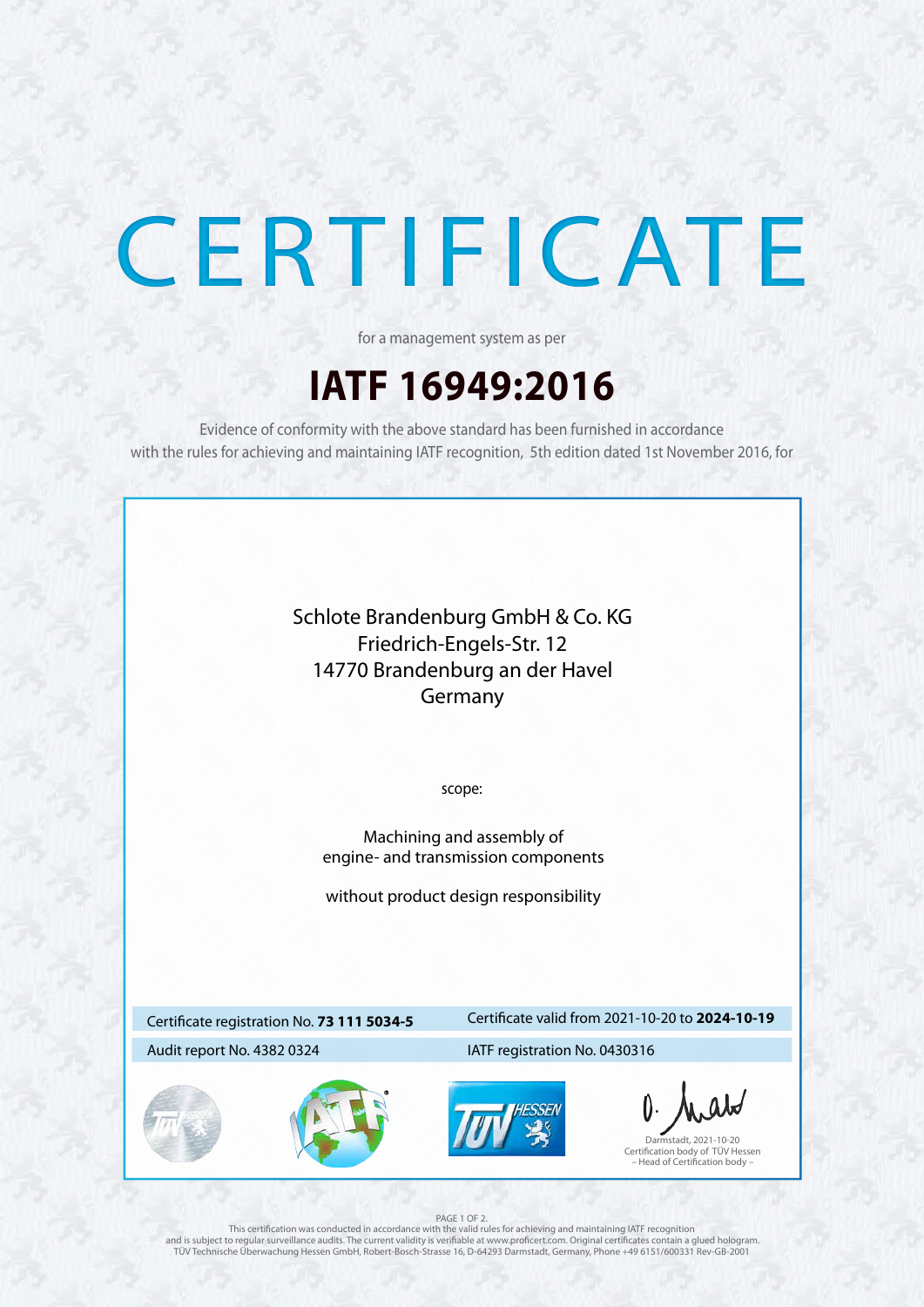



# CERTIFICATE

## **IATF 16949:2016**

for a management system as per

Evidence of conformity with the above standard has been furnished in accordance with the rules for achieving and maintaining IATF recognition, 5th edition dated 1st November 2016, for

## Certificate registration No. **73 111 5034-5**

## Certificate valid from 2021-10-20 to **2024-10-19**

## Audit report No. 4382 0324 IATF registration No. 0430316

### PAGE 1 OF 2.

This certification was conducted in accordance with the valid rules for achieving and maintaining IATF recognition and is subject to regular surveillance audits. The current validity is verifiable at www.proficert.com. Original certificates contain a glued hologram. TÜV Technische Überwachung Hessen GmbH, Robert-Bosch-Strasse 16, D-64293 Darmstadt, Germany, Phone +49 6151/600331 Rev-GB-2001

Darmstadt, 2021-10-20 Certification body of TÜV Hessen – Head of Certification body –

scope:

Machining and assembly of engine- and transmission components

without product design responsibility

Schlote Brandenburg GmbH & Co. KG Friedrich-Engels-Str. 12 14770 Brandenburg an der Havel Germany